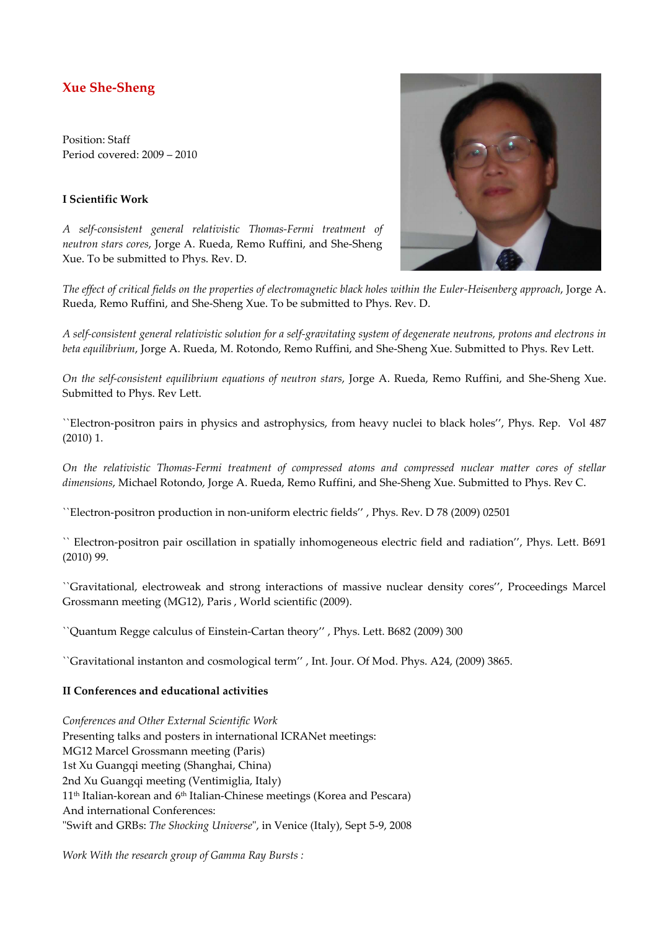# **Xue She-Sheng**

Position: Staff Period covered: 2009 – 2010

### **I Scientific Work**

*A self-consistent general relativistic Thomas-Fermi treatment of neutron stars cores*, Jorge A. Rueda, Remo Ruffini, and She-Sheng Xue. To be submitted to Phys. Rev. D.



*The effect of critical fields on the properties of electromagnetic black holes within the Euler-Heisenberg approach*, Jorge A. Rueda, Remo Ruffini, and She-Sheng Xue. To be submitted to Phys. Rev. D.

*A self-consistent general relativistic solution for a self-gravitating system of degenerate neutrons, protons and electrons in beta equilibrium*, Jorge A. Rueda, M. Rotondo, Remo Ruffini, and She-Sheng Xue. Submitted to Phys. Rev Lett.

*On the self-consistent equilibrium equations of neutron stars*, Jorge A. Rueda, Remo Ruffini, and She-Sheng Xue. Submitted to Phys. Rev Lett.

``Electron-positron pairs in physics and astrophysics, from heavy nuclei to black holes'', Phys. Rep. Vol 487 (2010) 1.

*On the relativistic Thomas-Fermi treatment of compressed atoms and compressed nuclear matter cores of stellar dimensions*, Michael Rotondo, Jorge A. Rueda, Remo Ruffini, and She-Sheng Xue. Submitted to Phys. Rev C.

``Electron-positron production in non-uniform electric fields'' , Phys. Rev. D 78 (2009) 02501

`` Electron-positron pair oscillation in spatially inhomogeneous electric field and radiation'', Phys. Lett. B691 (2010) 99.

``Gravitational, electroweak and strong interactions of massive nuclear density cores'', Proceedings Marcel Grossmann meeting (MG12), Paris , World scientific (2009).

``Quantum Regge calculus of Einstein-Cartan theory'' , Phys. Lett. B682 (2009) 300

``Gravitational instanton and cosmological term'' , Int. Jour. Of Mod. Phys. A24, (2009) 3865.

#### **II Conferences and educational activities**

*Conferences and Other External Scientific Work*  Presenting talks and posters in international ICRANet meetings: MG12 Marcel Grossmann meeting (Paris) 1st Xu Guangqi meeting (Shanghai, China) 2nd Xu Guangqi meeting (Ventimiglia, Italy) 11th Italian-korean and 6th Italian-Chinese meetings (Korea and Pescara) And international Conferences: "Swift and GRBs: *The Shocking Universe*", in Venice (Italy), Sept 5-9, 2008

*Work With the research group of Gamma Ray Bursts :*